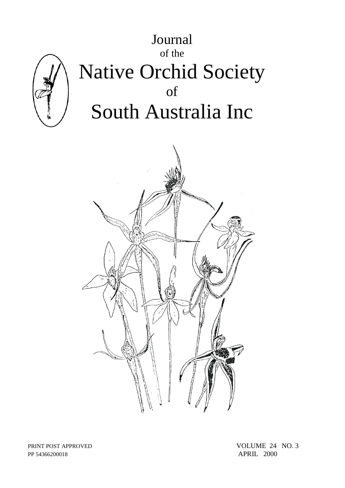

PP 54366200018 APRIL 2000

PRINT POST APPROVED VOLUME 24 NO. 3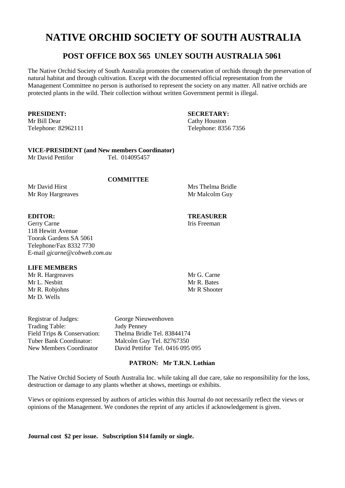# **NATIVE ORCHID SOCIETY OF SOUTH AUSTRALIA**

# **POST OFFICE BOX 565 UNLEY SOUTH AUSTRALIA 5061**

The Native Orchid Society of South Australia promotes the conservation of orchids through the preservation of natural habitat and through cultivation. Except with the documented official representation from the Management Committee no person is authorised to represent the society on any matter. All native orchids are protected plants in the wild. Their collection without written Government permit is illegal.

**PRESIDENT:**<br> **SECRETARY:**<br> **SECRETARY:**<br> **Cathy Houston** 

Cathy Houston Telephone: 82962111 Telephone: 8356 7356

## **VICE-PRESIDENT (and New members Coordinator)**

Mr David Pettifor Tel. 014095457

## **COMMITTEE**

Mr David Hirst Mrs Thelma Bridle Mr Roy Hargreaves Mr Malcolm Guy

# **EDITOR: TREASURER**

Gerry Carne Iris Freeman 118 Hewitt Avenue Toorak Gardens SA 5061 Telephone/Fax 8332 7730 E-mail *gjcarne@cobweb.com.au*

# **LIFE MEMBERS**

Mr R. Hargreaves Mr G. Carne<br>Mr J. Neshitt Mr R. Bates Mr L. Nesbitt Mr R. Robiohns Mr R Shooter Mr D. Wells

Registrar of Judges: George Nieuwenhoven Trading Table: Judy Penney

Field Trips & Conservation: Thelma Bridle Tel. 83844174<br>
Tuber Bank Coordinator: Malcolm Guy Tel. 82767350 Malcolm Guy Tel. 82767350 New Members Coordinator David Pettifor Tel. 0416 095 095

# **PATRON: Mr T.R.N. Lothian**

The Native Orchid Society of South Australia Inc. while taking all due care, take no responsibility for the loss, destruction or damage to any plants whether at shows, meetings or exhibits.

Views or opinions expressed by authors of articles within this Journal do not necessarily reflect the views or opinions of the Management. We condones the reprint of any articles if acknowledgement is given.

**Journal cost \$2 per issue. Subscription \$14 family or single.**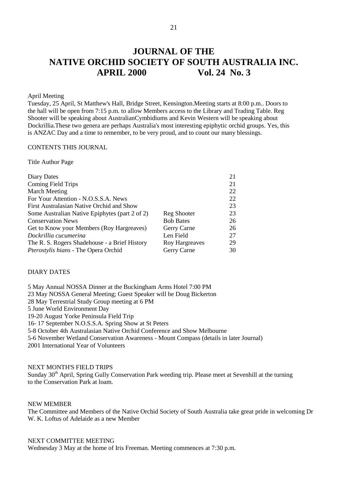# **JOURNAL OF THE NATIVE ORCHID SOCIETY OF SOUTH AUSTRALIA INC. APRIL 2000 Vol. 24 No. 3**

#### April Meeting

Tuesday, 25 April, St Matthew's Hall, Bridge Street, Kensington.Meeting starts at 8:00 p.m.. Doors to the hall will be open from 7:15 p.m. to allow Members access to the Library and Trading Table. Reg Shooter will be speaking about AustralianCymbidiums and Kevin Western will be speaking about Dockrillia.These two genera are perhaps Australia's most interesting epiphytic orchid groups. Yes, this is ANZAC Day and a time to remember, to be very proud, and to count our many blessings.

#### CONTENTS THIS JOURNAL

Title Author Page

|                  | 21 |
|------------------|----|
|                  | 21 |
|                  | 22 |
|                  | 22 |
|                  | 23 |
| Reg Shooter      | 23 |
| <b>Bob Bates</b> | 26 |
| Gerry Carne      | 26 |
| Len Field        | 27 |
| Roy Hargreaves   | 29 |
| Gerry Carne      | 30 |
|                  |    |

#### DIARY DATES

5 May Annual NOSSA Dinner at the Buckingham Arms Hotel 7:00 PM 23 May NOSSA General Meeting; Guest Speaker will be Doug Bickerton 28 May Terrestrial Study Group meeting at 6 PM 5 June World Environment Day 19-20 August Yorke Peninsula Field Trip 16- 17 September N.O.S.S.A. Spring Show at St Peters 5-8 October 4th Australasian Native Orchid Conference and Show Melbourne 5-6 November Wetland Conservation Awareness - Mount Compass (details in later Journal) 2001 International Year of Volunteers

NEXT MONTH'S FIELD TRIPS

Sunday 30<sup>th</sup> April, Spring Gully Conservation Park weeding trip. Please meet at Sevenhill at the turning to the Conservation Park at loam.

#### NEW MEMBER

The Committee and Members of the Native Orchid Society of South Australia take great pride in welcoming Dr W. K. Loftus of Adelaide as a new Member

#### NEXT COMMITTEE MEETING

Wednesday 3 May at the home of Iris Freeman. Meeting commences at 7:30 p.m.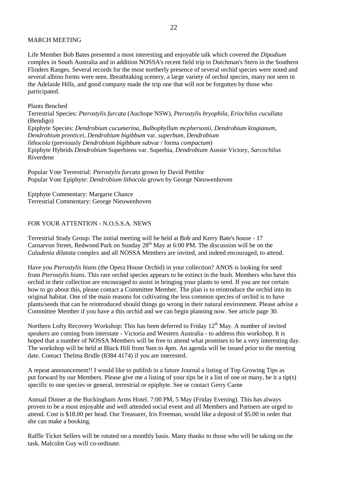#### MARCH MEETING

Life Member Bob Bates presented a most interesting and enjoyable talk which covered the *Dipodium* complex in South Australia and in addition NOSSA's recent field trip to Dutchman's Stern in the Southern Flinders Ranges. Several records for the most northerly presence of several orchid species were noted and several albino forms were seen. Breathtaking scenery, a large variety of orchid species, many not seen in the Adelaide Hills, and good company made the trip one that will not be forgotten by those who participated.

Plants Benched

Terrestrial Species: *Pterostylis furcata* (Auchope NSW), *Pterostylis bryophila, Eriochilus cucullata* (Bendigo) Epiphyte Species: *Dendrobium cucumerina*, *Bulbophyllum mcphersonii, Dendrobium kingianum*, *Dendrobium prenticei, Dendrobium bigibbum* var. *superbum, Dendrobium lithocola* (previously *Dendrobium bigibbum* subvar / forma *compactum*) Epiphyte Hybrids *Dendrobium* Superbiens var. Superbia, *Dendrobium* Aussie Victory, *Sarcochilus* Riverdene

Popular Vote Terrestrial: *Pterostylis furcata* grown by David Pettifor Popular Vote Epiphyte: *Dendrobium lithocola* grown by George Nieuwenhoven

Epiphyte Commentary: Margarie Chance Terrestrial Commentary: George Nieuwenhoven

#### FOR YOUR ATTENTION - N.O.S.S.A. NEWS

Terrestrial Study Group: The initial meeting will be held at Bob and Kerry Bate's house - 17 Carnarvon Street, Redwood Park on Sunday  $28<sup>th</sup>$  May at 6:00 PM. The discussion will be on the *Caladenia dilatata* complex and all NOSSA Members are invited, and indeed encouraged, to attend.

Have you *Pterostylis hians* (the Opera House Orchid) in your collection? ANOS is looking for seed from *Pterostylis hians*. This rare orchid species appears to be extinct in the bush. Members who have this orchid in their collection are encouraged to assist in bringing your plants to seed. If you are not certain how to go about this, please contact a Committee Member. The plan is to reintroduce the orchid into its original habitat. One of the main reasons for cultivating the less common species of orchid is to have plants/seeds that can be reintroduced should things go wrong in their natural environment. Please advise a Committee Member if you have a this orchid and we can begin planning now. See article page 30.

Northern Lofty Recovery Workshop: This has been deferred to Friday  $12<sup>th</sup>$  May. A number of invited speakers are coming from interstate - Victoria and Western Australia - to address this workshop. It is hoped that a number of NOSSA Members will be free to attend what promises to be a very interesting day. The workshop will be held at Black Hill from 9am to 4pm. An agenda will be issued prior to the meeting date. Contact Thelma Bridle (8384 4174) if you are interested.

A repeat announcement!! I would like to publish in a future Journal a listing of Top Growing Tips as put forward by our Members. Please give me a listing of your tips be it a list of one or many, be it a tip(s) specific to one species or general, terrestrial or epiphyte. See or contact Gerry Carne

Annual Dinner at the Buckingham Arms Hotel. 7:00 PM, 5 May (Friday Evening). This has always proven to be a most enjoyable and well attended social event and all Members and Partners are urged to attend. Cost is \$18.00 per head. Our Treasurer, Iris Freeman, would like a deposit of \$5.00 in order that she can make a booking.

Raffle Ticket Sellers will be rotated on a monthly basis. Many thanks to those who will be taking on the task. Malcolm Guy will co-ordinate.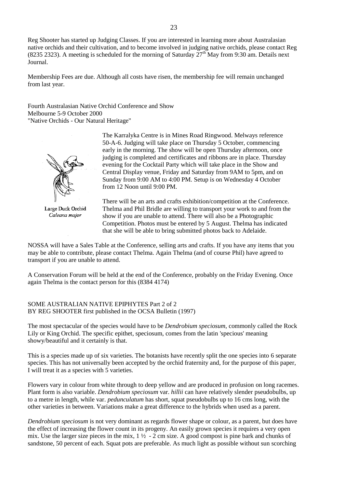Reg Shooter has started up Judging Classes. If you are interested in learning more about Australasian native orchids and their cultivation, and to become involved in judging native orchids, please contact Reg (8235 2323). A meeting is scheduled for the morning of Saturday  $27<sup>th</sup>$  May from 9:30 am. Details next Journal.

Membership Fees are due. Although all costs have risen, the membership fee will remain unchanged from last year.

Fourth Australasian Native Orchid Conference and Show Melbourne 5-9 October 2000 "Native Orchids - Our Natural Heritage"



Large Duck Orchid Caleana major

The Karralyka Centre is in Mines Road Ringwood. Melways reference 50-A-6. Judging will take place on Thursday 5 October, commencing early in the morning. The show will be open Thursday afternoon, once judging is completed and certificates and ribbons are in place. Thursday evening for the Cocktail Party which will take place in the Show and Central Display venue, Friday and Saturday from 9AM to 5pm, and on Sunday from 9:00 AM to 4:00 PM. Setup is on Wednesday 4 October from 12 Noon until 9:00 PM.

There will be an arts and crafts exhibition/competition at the Conference. Thelma and Phil Bridle are willing to transport your work to and from the show if you are unable to attend. There will also be a Photographic Competition. Photos must be entered by 5 August. Thelma has indicated that she will be able to bring submitted photos back to Adelaide.

NOSSA will have a Sales Table at the Conference, selling arts and crafts. If you have any items that you may be able to contribute, please contact Thelma. Again Thelma (and of course Phil) have agreed to transport if you are unable to attend.

A Conservation Forum will be held at the end of the Conference, probably on the Friday Evening. Once again Thelma is the contact person for this (8384 4174)

#### SOME AUSTRALIAN NATIVE EPIPHYTES Part 2 of 2 BY REG SHOOTER first published in the OCSA Bulletin (1997)

The most spectacular of the species would have to be *Dendrobium speciosum*, commonly called the Rock Lily or King Orchid. The specific epithet, speciosum, comes from the latin 'specious' meaning showy/beautiful and it certainly is that.

This is a species made up of six varieties. The botanists have recently split the one species into 6 separate species. This has not universally been accepted by the orchid fraternity and, for the purpose of this paper, I will treat it as a species with 5 varieties.

Flowers vary in colour from white through to deep yellow and are produced in profusion on long racemes. Plant form is also variable. *Dendrobium speciosum* var. *hillii* can have relatively slender pseudobulbs, up to a metre in length, while var. *pedunculatum* has short, squat pseudobulbs up to 16 cms long, with the other varieties in between. Variations make a great difference to the hybrids when used as a parent.

*Dendrobium speciosum* is not very dominant as regards flower shape or colour, as a parent, but does have the effect of increasing the flower count in its progeny. An easily grown species it requires a very open mix. Use the larger size pieces in the mix,  $1\frac{1}{2}$  - 2 cm size. A good compost is pine bark and chunks of sandstone, 50 percent of each. Squat pots are preferable. As much light as possible without sun scorching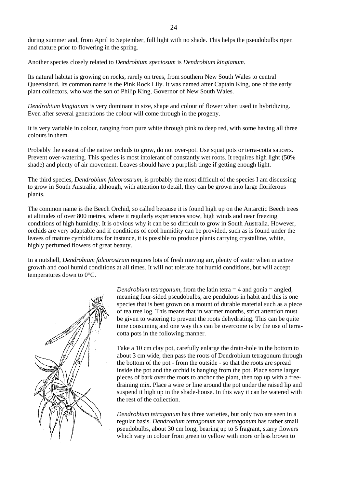during summer and, from April to September, full light with no shade. This helps the pseudobulbs ripen and mature prior to flowering in the spring.

Another species closely related to *Dendrobium speciosum* is *Dendrobium kingianum*.

Its natural habitat is growing on rocks, rarely on trees, from southern New South Wales to central Queensland. Its common name is the Pink Rock Lily. It was named after Captain King, one of the early plant collectors, who was the son of Philip King, Governor of New South Wales.

*Dendrobium kingianum* is very dominant in size, shape and colour of flower when used in hybridizing. Even after several generations the colour will come through in the progeny.

It is very variable in colour, ranging from pure white through pink to deep red, with some having all three colours in them.

Probably the easiest of the native orchids to grow, do not over-pot. Use squat pots or terra-cotta saucers. Prevent over-watering. This species is most intolerant of constantly wet roots. It requires high light (50% shade) and plenty of air movement. Leaves should have a purplish tinge if getting enough light.

The third species, *Dendrobium falcorostrum*, is probably the most difficult of the species I am discussing to grow in South Australia, although, with attention to detail, they can be grown into large floriferous plants.

The common name is the Beech Orchid, so called because it is found high up on the Antarctic Beech trees at altitudes of over 800 metres, where it regularly experiences snow, high winds and near freezing conditions of high humidity. It is obvious why it can be so difficult to grow in South Australia. However, orchids are very adaptable and if conditions of cool humidity can be provided, such as is found under the leaves of mature cymbidiums for instance, it is possible to produce plants carrying crystalline, white, highly perfumed flowers of great beauty.

In a nutshell, *Dendrobium falcorostrum* requires lots of fresh moving air, plenty of water when in active growth and cool humid conditions at all times. It will not tolerate hot humid conditions, but will accept temperatures down to 0°C.



*Dendrobium tetragonum*, from the latin tetra  $=$  4 and gonia  $=$  angled, meaning four-sided pseudobulbs, are pendulous in habit and this is one species that is best grown on a mount of durable material such as a piece of tea tree log. This means that in warmer months, strict attention must be given to watering to prevent the roots dehydrating. This can be quite time consuming and one way this can be overcome is by the use of terracotta pots in the following manner.

Take a 10 cm clay pot, carefully enlarge the drain-hole in the bottom to about 3 cm wide, then pass the roots of Dendrobium tetragonum through the bottom of the pot - from the outside - so that the roots are spread inside the pot and the orchid is hanging from the pot. Place some larger pieces of bark over the roots to anchor the plant, then top up with a freedraining mix. Place a wire or line around the pot under the raised lip and suspend it high up in the shade-house. In this way it can be watered with the rest of the collection.

*Dendrobium tetragonum* has three varieties, but only two are seen in a regular basis. *Dendrobium tetragonum* var *tetragonum* has rather small pseudobulbs, about 30 cm long, bearing up to 5 fragrant, starry flowers which vary in colour from green to yellow with more or less brown to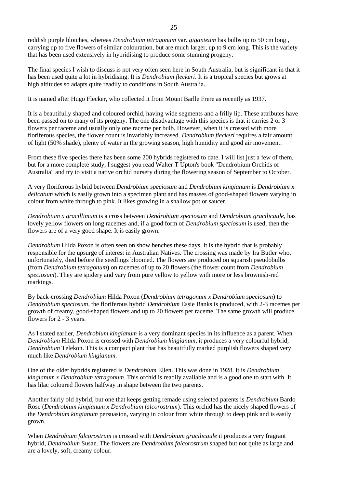reddish purple blotches, whereas *Dendrobium tetragonum* var. *giganteum* has bulbs up to 50 cm long , carrying up to five flowers of similar colouration, but are much larger, up to 9 cm long. This is the variety that has been used extensively in hybridising to produce some stunning progeny.

The final species I wish to discuss is not very often seen here in South Australia, but is significant in that it has been used quite a lot in hybridising. It is *Dendrobium fleckeri*. It is a tropical species but grows at high altitudes so adapts quite readily to conditions in South Australia.

It is named after Hugo Flecker, who collected it from Mount Barlle Frere as recently as 1937.

It is a beautifully shaped and coloured orchid, having wide segments and a frilly lip. These attributes have been passed on to many of its progeny. The one disadvantage with this species is that it carries 2 or 3 flowers per raceme and usually only one raceme per bulb. However, when it is crossed with more floriferous species, the flower count is invariably increased. *Dendrobium fleckeri* requires a fair amount of light (50% shade), plenty of water in the growing season, high humidity and good air movement.

From these five species there has been some 200 hybrids registered to date. I will list just a few of them, but for a more complete study, I suggest you read Walter T Upton's book "Dendrobium Orchids of Australia" and try to visit a native orchid nursery during the flowering season of September to October.

A very floriferous hybrid between *Dendrobium speciosum* and *Dendrobium kingianum* is *Dendrobium* x *delicatum* which is easily grown into a specimen plant and has masses of good-shaped flowers varying in colour from white through to pink. It likes growing in a shallow pot or saucer.

*Dendrobium x gracillimum* is a cross between *Dendrobium speciosum* and *Dendrobium gracilicaule*, has lovely yellow flowers on long racemes and, if a good form of *Dendrobium speciosum* is used, then the flowers are of a very good shape. It is easily grown.

*Dendrobium* Hilda Poxon is often seen on show benches these days. It is the hybrid that is probably responsible for the upsurge of interest in Australian Natives. The crossing was made by Ira Butler who, unfortunately, died before the seedlings bloomed. The flowers are produced on squarish pseudobulbs (from *Dendrobium tetragonum*) on racemes of up to 20 flowers (the flower count from *Dendrobium speciosum*). They are spidery and vary from pure yellow to yellow with more or less brownish-red markings.

By back-crossing *Dendrobium* Hilda Poxon (*Dendrobium tetragonum x Dendrobium speciosum*) to *Dendrobium speciosum*, the floriferous hybrid *Dendrobium* Essie Banks is produced, with 2-3 racemes per growth of creamy, good-shaped flowers and up to 20 flowers per raceme. The same growth will produce flowers for 2 - 3 years.

As I stated earlier, *Dendrobium kingianum* is a very dominant species in its influence as a parent. When *Dendrobium* Hilda Poxon is crossed with *Dendrobium kingianum*, it produces a very colourful hybrid, *Dendrobium* Telekon. This is a compact plant that has beautifully marked purplish flowers shaped very much like *Dendrobium kingianum*.

One of the older hybrids registered is *Dendrobium* Ellen. This was done in 1928. It is *Dendrobium kingianum x Dendrobium tetragonum*. This orchid is readily available and is a good one to start with. It has lilac coloured flowers halfway in shape between the two parents.

Another fairly old hybrid, but one that keeps getting remade using selected parents is *Dendrobium* Bardo Rose (*Dendrobium kingianum x Dendrobium falcorostrum*). This orchid has the nicely shaped flowers of the *Dendrobium kingianum* persuasion, varying in colour from white through to deep pink and is easily grown.

When *Dendrobium falcorostrum* is crossed with *Dendrobium gracilicaule* it produces a very fragrant hybrid, *Dendrobium* Susan. The flowers are *Dendrobium falcorostrum* shaped but not quite as large and are a lovely, soft, creamy colour.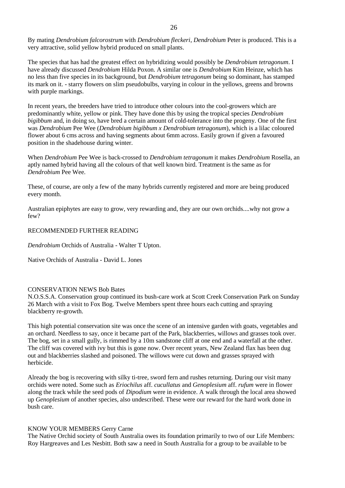By mating *Dendrobium falcorostrum* with *Dendrobium fleckeri*, *Dendrobium* Peter is produced. This is a very attractive, solid yellow hybrid produced on small plants.

The species that has had the greatest effect on hybridizing would possibly be *Dendrobium tetragonum*. I have already discussed *Dendrobium* Hilda Poxon. A similar one is *Dendrobium* Kim Heinze, which has no less than five species in its background, but *Dendrobium tetragonum* being so dominant, has stamped its mark on it. - starry flowers on slim pseudobulbs, varying in colour in the yellows, greens and browns with purple markings.

In recent years, the breeders have tried to introduce other colours into the cool-growers which are predominantly white, yellow or pink. They have done this by using the tropical species *Dendrobium bigibbum* and, in doing so, have bred a certain amount of cold-tolerance into the progeny. One of the first was *Dendrobium* Pee Wee (*Dendrobium bigibbum x Dendrobium tetragonum*), which is a lilac coloured flower about 6 cms across and having segments about 6mm across. Easily grown if given a favoured position in the shadehouse during winter.

When *Dendrobium* Pee Wee is back-crossed to *Dendrobium tetragonum* it makes *Dendrobium* Rosella, an aptly named hybrid having all the colours of that well known bird. Treatment is the same as for *Dendrobium* Pee Wee.

These, of course, are only a few of the many hybrids currently registered and more are being produced every month.

Australian epiphytes are easy to grow, very rewarding and, they are our own orchids....why not grow a few?

#### RECOMMENDED FURTHER READING

*Dendrobium* Orchids of Australia - Walter T Upton.

Native Orchids of Australia - David L. Jones

#### CONSERVATION NEWS Bob Bates

N.O.S.S.A. Conservation group continued its bush-care work at Scott Creek Conservation Park on Sunday 26 March with a visit to Fox Bog. Twelve Members spent three hours each cutting and spraying blackberry re-growth.

This high potential conservation site was once the scene of an intensive garden with goats, vegetables and an orchard. Needless to say, once it became part of the Park, blackberries, willows and grasses took over. The bog, set in a small gully, is rimmed by a 10m sandstone cliff at one end and a waterfall at the other. The cliff was covered with ivy but this is gone now. Over recent years, New Zealand flax has been dug out and blackberries slashed and poisoned. The willows were cut down and grasses sprayed with herbicide.

Already the bog is recovering with silky ti-tree, sword fern and rushes returning. During our visit many orchids were noted. Some such as *Eriochilus* aff. *cucullatus* and *Genoplesium* aff. *rufum* were in flower along the track while the seed pods of *Dipodium* were in evidence. A walk through the local area showed up *Genoplesium* of another species, also undescribed. These were our reward for the hard work done in bush care.

#### KNOW YOUR MEMBERS Gerry Carne

The Native Orchid society of South Australia owes its foundation primarily to two of our Life Members: Roy Hargreaves and Les Nesbitt. Both saw a need in South Australia for a group to be available to be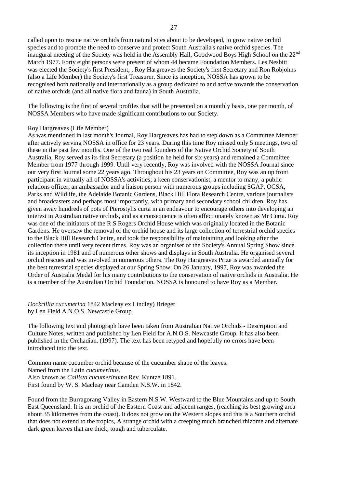called upon to rescue native orchids from natural sites about to be developed, to grow native orchid species and to promote the need to conserve and protect South Australia's native orchid species. The inaugural meeting of the Society was held in the Assembly Hall, Goodwood Boys High School on the 22<sup>nd</sup> March 1977. Forty eight persons were present of whom 44 became Foundation Members. Les Nesbitt was elected the Society's first President, , Roy Hargreaves the Society's first Secretary and Ron Robjohns (also a Life Member) the Society's first Treasurer. Since its inception, NOSSA has grown to be recognised both nationally and internationally as a group dedicated to and active towards the conservation of native orchids (and all native flora and fauna) in South Australia.

The following is the first of several profiles that will be presented on a monthly basis, one per month, of NOSSA Members who have made significant contributions to our Society.

#### Roy Hargreaves (Life Member)

As was mentioned in last month's Journal, Roy Hargreaves has had to step down as a Committee Member after actively serving NOSSA in office for 23 years. During this time Roy missed only 5 meetings, two of these in the past few months. One of the two real founders of the Native Orchid Society of South Australia, Roy served as its first Secretary (a position he held for six years) and remained a Committee Member from 1977 through 1999. Until very recently, Roy was involved with the NOSSA Journal since our very first Journal some 22 years ago. Throughout his 23 years on Committee, Roy was an up front participant in virtually all of NOSSA's activities; a keen conservationist, a mentor to many, a public relations officer, an ambassador and a liaison person with numerous groups including SGAP, OCSA, Parks and Wildlife, the Adelaide Botanic Gardens, Black Hill Flora Research Centre, various journalists and broadcasters and perhaps most importantly, with primary and secondary school children. Roy has given away hundreds of pots of Pterostylis curta in an endeavour to encourage others into developing an interest in Australian native orchids, and as a consequence is often affectionately known as Mr Curta. Roy was one of the initiators of the R S Rogers Orchid House which was originally located in the Botanic Gardens. He oversaw the removal of the orchid house and its large collection of terrestrial orchid species to the Black Hill Research Centre, and took the responsibility of maintaining and looking after the collection there until very recent times. Roy was an organiser of the Society's Annual Spring Show since its inception in 1981 and of numerous other shows and displays in South Australia. He organised several orchid rescues and was involved in numerous others. The Roy Hargreaves Prize is awarded annually for the best terrestrial species displayed at our Spring Show. On 26 January, 1997, Roy was awarded the Order of Australia Medal for his many contributions to the conservation of native orchids in Australia. He is a member of the Australian Orchid Foundation. NOSSA is honoured to have Roy as a Member.

*Dockrillia cucumerina* 1842 Macleay ex Lindley) Brieger by Len Field A.N.O.S. Newcastle Group

The following text and photograph have been taken from Australian Native Orchids - Description and Culture Notes, written and published by Len Field for A.N.O.S. Newcastle Group. It has also been published in the Orchadian. (1997). The text has been retyped and hopefully no errors have been introduced into the text.

Common name cucumber orchid because of the cucumber shape of the leaves. Named from the Latin *cucumerinus*. Also known as *Callista cucumerinuma* Rev. Kuntze 1891. First found by W. S. Macleay near Camden N.S.W. in 1842.

Found from the Burragorang Valley in Eastern N.S.W. Westward to the Blue Mountains and up to South East Queensland. It is an orchid of the Eastern Coast and adjacent ranges, (reaching its best growing area about 35 kilometres from the coast). It does not grow on the Western slopes and this is a Southern orchid that does not extend to the tropics, A strange orchid with a creeping much branched rhizome and alternate dark green leaves that are thick, tough and tuberculate.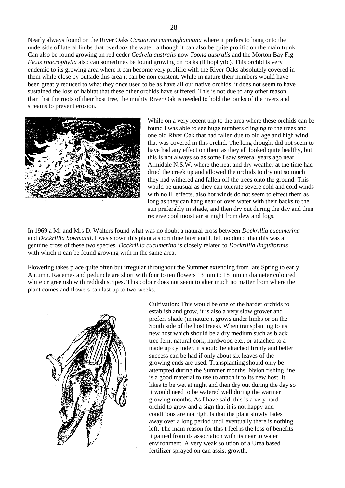Nearly always found on the River Oaks *Casuarina cunninghamiana* where it prefers to hang onto the underside of lateral limbs that overlook the water, although it can also be quite prolific on the main trunk. Can also be found growing on red ceder *Cedrela australis* now *Toona australis* and the Morton Bay Fig *Ficus rnacrophylla* also can sometimes be found growing on rocks (lithophytic). This orchid is very endemic to its growing area where it can become very prolific with the River Oaks absolutely covered in them while close by outside this area it can be non existent. While in nature their numbers would have been greatly reduced to what they once used to be as have all our native orchids, it does not seem to have sustained the loss of habitat that these other orchids have suffered. This is not due to any other reason than that the roots of their host tree, the mighty River Oak is needed to hold the banks of the rivers and streams to prevent erosion.



While on a very recent trip to the area where these orchids can be found I was able to see huge numbers clinging to the trees and one old River Oak that had fallen due to old age and high wind that was covered in this orchid. The long drought did not seem to have had any effect on them as they all looked quite healthy, but this is not always so as some I saw several years ago near Armidale N.S.W. where the heat and dry weather at the time had dried the creek up and allowed the orchids to dry out so much they had withered and fallen off the trees onto the ground. This would be unusual as they can tolerate severe cold and cold winds with no ill effects, also hot winds do not seem to effect them as long as they can hang near or over water with their backs to the sun preferably in shade, and then dry out during the day and then receive cool moist air at night from dew and fogs.

In 1969 a Mr and Mrs D. Walters found what was no doubt a natural cross between *Dockrillia cucumerina* and *Dockrillia bowmanii*. I was shown this plant a short time later and it left no doubt that this was a genuine cross of these two species. *Dockrillia cucumerina* is closely related to *Dockrillia linguiformis* with which it can be found growing with in the same area.

Flowering takes place quite often but irregular throughout the Summer extending from late Spring to early Autumn. Racemes and peduncle are short with four to ten flowers 13 mm to 18 mm in diameter coloured white or greenish with reddish stripes. This colour does not seem to alter much no matter from where the plant comes and flowers can last up to two weeks.



Cultivation: This would be one of the harder orchids to establish and grow, it is also a very slow grower and prefers shade (in nature it grows under limbs or on the South side of the host trees). When transplanting to its new host which should be a dry medium such as black tree fern, natural cork, hardwood etc., or attached to a made up cylinder, it should be attached firmly and better success can be had if only about six leaves of the growing ends are used. Transplanting should only be attempted during the Summer months. Nylon fishing line is a good material to use to attach it to its new host. It likes to be wet at night and then dry out during the day so it would need to be watered well during the warmer growing months. As I have said, this is a very hard orchid to grow and a sign that it is not happy and conditions are not right is that the plant slowly fades away over a long period until eventually there is nothing left. The main reason for this I feel is the loss of benefits it gained from its association with its near to water environment. A very weak solution of a Urea based fertilizer sprayed on can assist growth.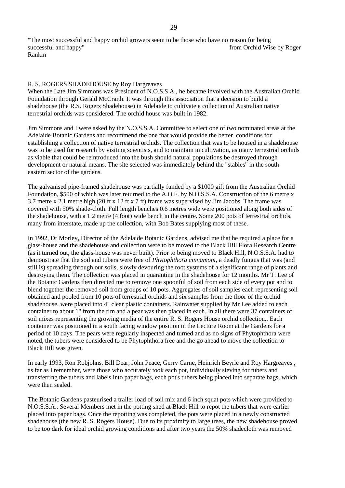"The most successful and happy orchid growers seem to be those who have no reason for being successful and happy" **from Orchid Wise by Roger** from Orchid Wise by Roger Rankin

#### R. S. ROGERS SHADEHOUSE by Roy Hargreaves

When the Late Jim Simmons was President of N.O.S.S.A., he became involved with the Australian Orchid Foundation through Gerald McCraith. It was through this association that a decision to build a shadehouse (the R.S. Rogers Shadehouse) in Adelaide to cultivate a collection of Australian native terrestrial orchids was considered. The orchid house was built in 1982.

Jim Simmons and I were asked by the N.O.S.S.A. Committee to select one of two nominated areas at the Adelaide Botanic Gardens and recommend the one that would provide the better conditions for establishing a collection of native terrestrial orchids. The collection that was to be housed in a shadehouse was to be used for research by visiting scientists, and to maintain in cultivation, as many terrestrial orchids as viable that could be reintroduced into the bush should natural populations be destroyed through development or natural means. The site selected was immediately behind the "stables" in the south eastern sector of the gardens.

The galvanised pipe-framed shadehouse was partially funded by a \$1000 gift from the Australian Orchid Foundation, \$500 of which was later returned to the A.O.F. by N.O.S.S.A. Construction of the 6 metre x 3.7 metre x 2.1 metre high (20 ft x 12 ft x 7 ft) frame was supervised by Jim Jacobs. The frame was covered with 50% shade-cloth. Full length benches 0.6 metres wide were positioned along both sides of the shadehouse, with a 1.2 metre (4 foot) wide bench in the centre. Some 200 pots of terrestrial orchids, many from interstate, made up the collection, with Bob Bates supplying most of these.

In 1992, Dr Morley, Director of the Adelaide Botanic Gardens, advised me that he required a place for a glass-house and the shadehouse and collection were to be moved to the Black Hill Flora Research Centre (as it turned out, the glass-house was never built). Prior to being moved to Black Hill, N.O.S.S.A. had to demonstrate that the soil and tubers were free of *Phytophthora cinnamoni*, a deadly fungus that was (and still is) spreading through our soils, slowly devouring the root systems of a significant range of plants and destroying them. The collection was placed in quarantine in the shadehouse for 12 months. Mr T. Lee of the Botanic Gardens then directed me to remove one spoonful of soil from each side of every pot and to blend together the removed soil from groups of 10 pots. Aggregates of soil samples each representing soil obtained and pooled from 10 pots of terrestrial orchids and six samples from the floor of the orchid shadehouse, were placed into 4" clear plastic containers. Rainwater supplied by Mr Lee added to each container to about 1" from the rim and a pear was then placed in each. In all there were 37 containers of soil mixes representing the growing media of the entire R. S. Rogers House orchid collection.. Each container was positioned in a south facing window position in the Lecture Room at the Gardens for a period of 10 days. The pears were regularly inspected and turned and as no signs of Phytophthora were noted, the tubers were considered to be Phytophthora free and the go ahead to move the collection to Black Hill was given.

In early 1993, Ron Robjohns, Bill Dear, John Peace, Gerry Carne, Heinrich Beyrle and Roy Hargreaves , as far as I remember, were those who accurately took each pot, individually sieving for tubers and transferring the tubers and labels into paper bags, each pot's tubers being placed into separate bags, which were then sealed.

The Botanic Gardens pasteurised a trailer load of soil mix and 6 inch squat pots which were provided to N.O.S.S.A.. Several Members met in the potting shed at Black Hill to repot the tubers that were earlier placed into paper bags. Once the repotting was completed, the pots were placed in a newly constructed shadehouse (the new R. S. Rogers House). Due to its proximity to large trees, the new shadehouse proved to be too dark for ideal orchid growing conditions and after two years the 50% shadecloth was removed